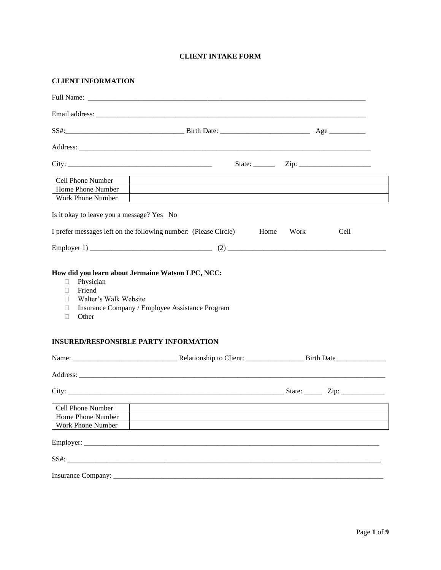# **CLIENT INTAKE FORM**

| <b>CLIENT INFORMATION</b>                                                      |                                                                                                                      |              |      |
|--------------------------------------------------------------------------------|----------------------------------------------------------------------------------------------------------------------|--------------|------|
|                                                                                |                                                                                                                      |              |      |
|                                                                                |                                                                                                                      |              |      |
|                                                                                |                                                                                                                      |              |      |
|                                                                                |                                                                                                                      |              |      |
|                                                                                |                                                                                                                      |              |      |
| Cell Phone Number                                                              |                                                                                                                      |              |      |
| Home Phone Number                                                              | <u> 1989 - Johann Barbara, martxa alemaniar argametra (h. 1989).</u>                                                 |              |      |
| Work Phone Number                                                              | <u> 1980 - Jan Barat, prima de la contrada de la contrada de la contrada de la contrada de la contrada de la con</u> |              |      |
| Is it okay to leave you a message? Yes No                                      |                                                                                                                      |              |      |
|                                                                                | I prefer messages left on the following number: (Please Circle)                                                      | Home<br>Work | Cell |
|                                                                                |                                                                                                                      |              |      |
| Physician<br>⊔<br>Friend<br>П<br>Walter's Walk Website<br>П<br>П<br>Other<br>□ | Insurance Company / Employee Assistance Program                                                                      |              |      |
|                                                                                | <b>INSURED/RESPONSIBLE PARTY INFORMATION</b>                                                                         |              |      |
|                                                                                |                                                                                                                      |              |      |
|                                                                                |                                                                                                                      |              |      |
|                                                                                |                                                                                                                      |              |      |
| Cell Phone Number                                                              |                                                                                                                      |              |      |
| Home Phone Number<br><b>Work Phone Number</b>                                  |                                                                                                                      |              |      |
|                                                                                |                                                                                                                      |              |      |
|                                                                                |                                                                                                                      |              |      |
| SS#:                                                                           |                                                                                                                      |              |      |
|                                                                                |                                                                                                                      |              |      |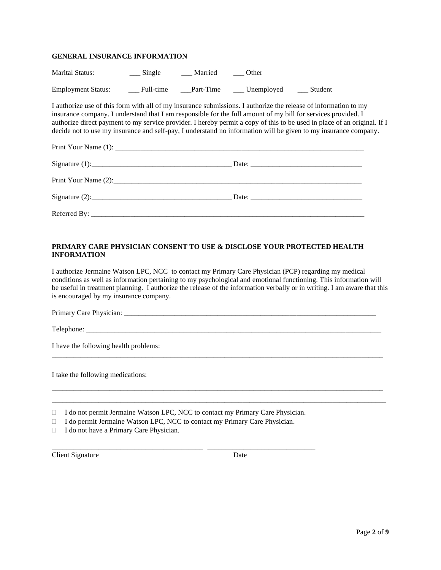## **GENERAL INSURANCE INFORMATION**

| <b>Marital Status:</b>    | Single    | Married   | Other      |         |
|---------------------------|-----------|-----------|------------|---------|
| <b>Employment Status:</b> | Full-time | Part-Time | Unemployed | Student |

I authorize use of this form with all of my insurance submissions. I authorize the release of information to my insurance company. I understand that I am responsible for the full amount of my bill for services provided. I authorize direct payment to my service provider. I hereby permit a copy of this to be used in place of an original. If I decide not to use my insurance and self-pay, I understand no information will be given to my insurance company.

# **PRIMARY CARE PHYSICIAN CONSENT TO USE & DISCLOSE YOUR PROTECTED HEALTH INFORMATION**

I authorize Jermaine Watson LPC, NCC to contact my Primary Care Physician (PCP) regarding my medical conditions as well as information pertaining to my psychological and emotional functioning. This information will be useful in treatment planning. I authorize the release of the information verbally or in writing. I am aware that this is encouraged by my insurance company.

 $\overline{a}$  , and the contribution of the contribution of the contribution of the contribution of the contribution of the contribution of the contribution of the contribution of the contribution of the contribution of the co

\_\_\_\_\_\_\_\_\_\_\_\_\_\_\_\_\_\_\_\_\_\_\_\_\_\_\_\_\_\_\_\_\_\_\_\_\_\_\_\_\_\_\_\_\_\_\_\_\_\_\_\_\_\_\_\_\_\_\_\_\_\_\_\_\_\_\_\_\_\_\_\_\_\_\_\_\_\_\_\_\_\_\_\_\_\_\_\_\_\_\_\_ \_\_\_\_\_\_\_\_\_\_\_\_\_\_\_\_\_\_\_\_\_\_\_\_\_\_\_\_\_\_\_\_\_\_\_\_\_\_\_\_\_\_\_\_\_\_\_\_\_\_\_\_\_\_\_\_\_\_\_\_\_\_\_\_\_\_\_\_\_\_\_\_\_\_\_\_\_\_\_\_\_\_\_\_\_\_\_\_\_\_\_\_\_

Primary Care Physician: \_\_\_\_\_\_\_\_\_\_\_\_\_\_\_\_\_\_\_\_\_\_\_\_\_\_\_\_\_\_\_\_\_\_\_\_\_\_\_\_\_\_\_\_\_\_\_\_\_\_\_\_\_\_\_\_\_\_\_\_\_\_\_\_\_\_\_\_\_\_

Telephone: \_\_\_\_\_\_\_\_\_\_\_\_\_\_\_\_\_\_\_\_\_\_\_\_\_\_\_\_\_\_\_\_\_\_\_\_\_\_\_\_\_\_\_\_\_\_\_\_\_\_\_\_\_\_\_\_\_\_\_\_\_\_\_\_\_\_\_\_\_\_\_\_\_\_\_\_\_\_\_\_\_\_

I have the following health problems:

I take the following medications:

□ I do not permit Jermaine Watson LPC, NCC to contact my Primary Care Physician.

\_\_\_\_\_\_\_\_\_\_\_\_\_\_\_\_\_\_\_\_\_\_\_\_\_\_\_\_\_\_\_\_\_\_\_\_\_\_\_\_\_\_ \_\_\_\_\_\_\_\_\_\_\_\_\_\_\_\_\_\_\_\_\_\_\_\_\_\_\_\_\_\_

I do permit Jermaine Watson LPC, NCC to contact my Primary Care Physician.

 $\Box$  I do not have a Primary Care Physician.

**Client Signature** Date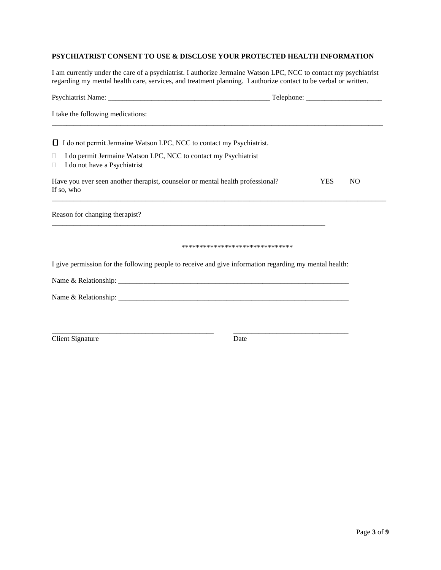# **PSYCHIATRIST CONSENT TO USE & DISCLOSE YOUR PROTECTED HEALTH INFORMATION**

I am currently under the care of a psychiatrist. I authorize Jermaine Watson LPC, NCC to contact my psychiatrist regarding my mental health care, services, and treatment planning. I authorize contact to be verbal or written.

| I take the following medications:                                                                              |                                |            |                |
|----------------------------------------------------------------------------------------------------------------|--------------------------------|------------|----------------|
| $\Box$ I do not permit Jermaine Watson LPC, NCC to contact my Psychiatrist.                                    |                                |            |                |
| I do permit Jermaine Watson LPC, NCC to contact my Psychiatrist<br>$\Box$<br>I do not have a Psychiatrist<br>0 |                                |            |                |
| Have you ever seen another therapist, counselor or mental health professional?<br>If so, who                   |                                | <b>YES</b> | N <sub>O</sub> |
| Reason for changing therapist?                                                                                 |                                |            |                |
|                                                                                                                | ****************************** |            |                |
| I give permission for the following people to receive and give information regarding my mental health:         |                                |            |                |
|                                                                                                                |                                |            |                |
|                                                                                                                |                                |            |                |
| <b>Client Signature</b>                                                                                        | Date                           |            |                |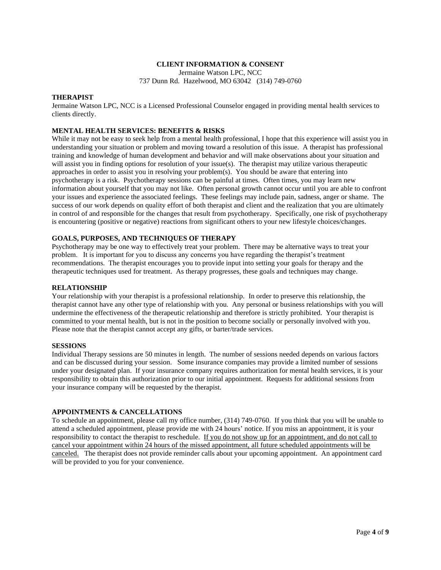## **CLIENT INFORMATION & CONSENT**

Jermaine Watson LPC, NCC

737 Dunn Rd. Hazelwood, MO 63042 (314) 749-0760

## **THERAPIST**

Jermaine Watson LPC, NCC is a Licensed Professional Counselor engaged in providing mental health services to clients directly.

# **MENTAL HEALTH SERVICES: BENEFITS & RISKS**

While it may not be easy to seek help from a mental health professional, I hope that this experience will assist you in understanding your situation or problem and moving toward a resolution of this issue. A therapist has professional training and knowledge of human development and behavior and will make observations about your situation and will assist you in finding options for resolution of your issue(s). The therapist may utilize various therapeutic approaches in order to assist you in resolving your problem(s). You should be aware that entering into psychotherapy is a risk. Psychotherapy sessions can be painful at times. Often times, you may learn new information about yourself that you may not like. Often personal growth cannot occur until you are able to confront your issues and experience the associated feelings. These feelings may include pain, sadness, anger or shame. The success of our work depends on quality effort of both therapist and client and the realization that you are ultimately in control of and responsible for the changes that result from psychotherapy. Specifically, one risk of psychotherapy is encountering (positive or negative) reactions from significant others to your new lifestyle choices/changes.

# **GOALS, PURPOSES, AND TECHNIQUES OF THERAPY**

Psychotherapy may be one way to effectively treat your problem. There may be alternative ways to treat your problem. It is important for you to discuss any concerns you have regarding the therapist's treatment recommendations. The therapist encourages you to provide input into setting your goals for therapy and the therapeutic techniques used for treatment. As therapy progresses, these goals and techniques may change.

### **RELATIONSHIP**

Your relationship with your therapist is a professional relationship. In order to preserve this relationship, the therapist cannot have any other type of relationship with you. Any personal or business relationships with you will undermine the effectiveness of the therapeutic relationship and therefore is strictly prohibited. Your therapist is committed to your mental health, but is not in the position to become socially or personally involved with you. Please note that the therapist cannot accept any gifts, or barter/trade services.

### **SESSIONS**

Individual Therapy sessions are 50 minutes in length. The number of sessions needed depends on various factors and can be discussed during your session. Some insurance companies may provide a limited number of sessions under your designated plan. If your insurance company requires authorization for mental health services, it is your responsibility to obtain this authorization prior to our initial appointment. Requests for additional sessions from your insurance company will be requested by the therapist.

### **APPOINTMENTS & CANCELLATIONS**

To schedule an appointment, please call my office number, (314) 749-0760. If you think that you will be unable to attend a scheduled appointment, please provide me with 24 hours' notice. If you miss an appointment, it is your responsibility to contact the therapist to reschedule. If you do not show up for an appointment, and do not call to cancel your appointment within 24 hours of the missed appointment, all future scheduled appointments will be canceled. The therapist does not provide reminder calls about your upcoming appointment. An appointment card will be provided to you for your convenience.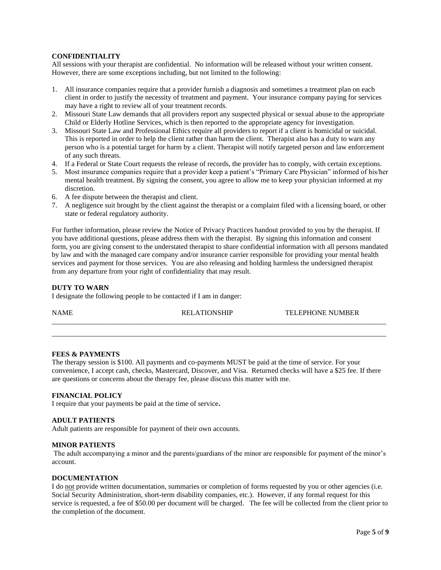### **CONFIDENTIALITY**

All sessions with your therapist are confidential. No information will be released without your written consent. However, there are some exceptions including, but not limited to the following:

- 1. All insurance companies require that a provider furnish a diagnosis and sometimes a treatment plan on each client in order to justify the necessity of treatment and payment. Your insurance company paying for services may have a right to review all of your treatment records.
- 2. Missouri State Law demands that all providers report any suspected physical or sexual abuse to the appropriate Child or Elderly Hotline Services, which is then reported to the appropriate agency for investigation.
- 3. Missouri State Law and Professional Ethics require all providers to report if a client is homicidal or suicidal. This is reported in order to help the client rather than harm the client. Therapist also has a duty to warn any person who is a potential target for harm by a client. Therapist will notify targeted person and law enforcement of any such threats.
- 4. If a Federal or State Court requests the release of records, the provider has to comply, with certain exceptions.
- 5. Most insurance companies require that a provider keep a patient's "Primary Care Physician" informed of his/her mental health treatment. By signing the consent, you agree to allow me to keep your physician informed at my discretion.
- 6. A fee dispute between the therapist and client.
- 7. A negligence suit brought by the client against the therapist or a complaint filed with a licensing board, or other state or federal regulatory authority.

For further information, please review the Notice of Privacy Practices handout provided to you by the therapist. If you have additional questions, please address them with the therapist. By signing this information and consent form, you are giving consent to the understated therapist to share confidential information with all persons mandated by law and with the managed care company and/or insurance carrier responsible for providing your mental health services and payment for those services. You are also releasing and holding harmless the undersigned therapist from any departure from your right of confidentiality that may result.

### **DUTY TO WARN**

I designate the following people to be contacted if I am in danger:

| NAMF | REI A'I | TEI EPHONE NH<br>JMBER |
|------|---------|------------------------|
|      |         |                        |

 $\_$  ,  $\_$  ,  $\_$  ,  $\_$  ,  $\_$  ,  $\_$  ,  $\_$  ,  $\_$  ,  $\_$  ,  $\_$  ,  $\_$  ,  $\_$  ,  $\_$  ,  $\_$  ,  $\_$  ,  $\_$  ,  $\_$  ,  $\_$  ,  $\_$  ,  $\_$  ,  $\_$  ,  $\_$  ,  $\_$  ,  $\_$  ,  $\_$  ,  $\_$  ,  $\_$  ,  $\_$  ,  $\_$  ,  $\_$  ,  $\_$  ,  $\_$  ,  $\_$  ,  $\_$  ,  $\_$  ,  $\_$  ,  $\_$  ,

### **FEES & PAYMENTS**

The therapy session is \$100. All payments and co-payments MUST be paid at the time of service. For your convenience, I accept cash, checks, Mastercard, Discover, and Visa. Returned checks will have a \$25 fee. If there are questions or concerns about the therapy fee, please discuss this matter with me.

## **FINANCIAL POLICY**

I require that your payments be paid at the time of service**.**

# **ADULT PATIENTS**

Adult patients are responsible for payment of their own accounts.

### **MINOR PATIENTS**

The adult accompanying a minor and the parents/guardians of the minor are responsible for payment of the minor's account.

### **DOCUMENTATION**

I do not provide written documentation, summaries or completion of forms requested by you or other agencies (i.e. Social Security Administration, short-term disability companies, etc.). However, if any formal request for this service is requested, a fee of \$50.00 per document will be charged. The fee will be collected from the client prior to the completion of the document.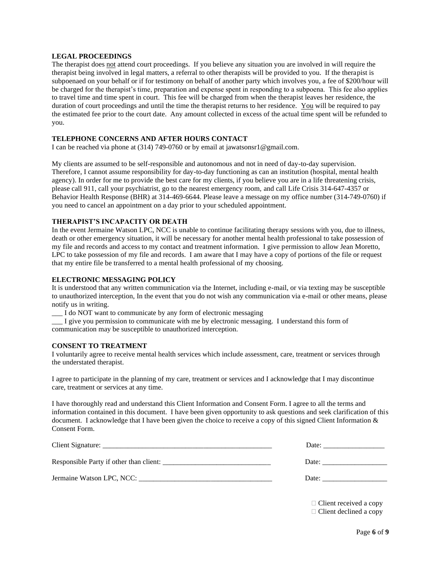### **LEGAL PROCEEDINGS**

The therapist does not attend court proceedings. If you believe any situation you are involved in will require the therapist being involved in legal matters, a referral to other therapists will be provided to you. If the therapist is subpoenaed on your behalf or if for testimony on behalf of another party which involves you, a fee of \$200/hour will be charged for the therapist's time, preparation and expense spent in responding to a subpoena. This fee also applies to travel time and time spent in court. This fee will be charged from when the therapist leaves her residence, the duration of court proceedings and until the time the therapist returns to her residence. You will be required to pay the estimated fee prior to the court date. Any amount collected in excess of the actual time spent will be refunded to you.

### **TELEPHONE CONCERNS AND AFTER HOURS CONTACT**

I can be reached via phone at (314) 749-0760 or by email at jawatsonsr1@gmail.com.

My clients are assumed to be self-responsible and autonomous and not in need of day-to-day supervision. Therefore, I cannot assume responsibility for day-to-day functioning as can an institution (hospital, mental health agency). In order for me to provide the best care for my clients, if you believe you are in a life threatening crisis, please call 911, call your psychiatrist, go to the nearest emergency room, and call Life Crisis 314-647-4357 or Behavior Health Response (BHR) at 314-469-6644. Please leave a message on my office number (314-749-0760) if you need to cancel an appointment on a day prior to your scheduled appointment.

## **THERAPIST'S INCAPACITY OR DEATH**

In the event Jermaine Watson LPC, NCC is unable to continue facilitating therapy sessions with you, due to illness, death or other emergency situation, it will be necessary for another mental health professional to take possession of my file and records and access to my contact and treatment information. I give permission to allow Jean Moretto, LPC to take possession of my file and records. I am aware that I may have a copy of portions of the file or request that my entire file be transferred to a mental health professional of my choosing.

#### **ELECTRONIC MESSAGING POLICY**

It is understood that any written communication via the Internet, including e-mail, or via texting may be susceptible to unauthorized interception, In the event that you do not wish any communication via e-mail or other means, please notify us in writing.

\_\_\_ I do NOT want to communicate by any form of electronic messaging

\_\_\_ I give you permission to communicate with me by electronic messaging. I understand this form of communication may be susceptible to unauthorized interception.

#### **CONSENT TO TREATMENT**

I voluntarily agree to receive mental health services which include assessment, care, treatment or services through the understated therapist.

I agree to participate in the planning of my care, treatment or services and I acknowledge that I may discontinue care, treatment or services at any time.

I have thoroughly read and understand this Client Information and Consent Form. I agree to all the terms and information contained in this document. I have been given opportunity to ask questions and seek clarification of this document. I acknowledge that I have been given the choice to receive a copy of this signed Client Information & Consent Form.

|                                         | Date: |
|-----------------------------------------|-------|
| Responsible Party if other than client: | Date: |
| Jermaine Watson LPC, NCC:               | Date: |

 Client received a copy Client declined a copy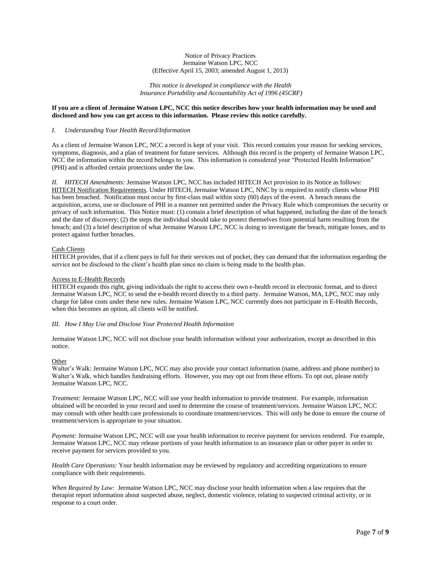#### Notice of Privacy Practices Jermaine Watson LPC, NCC (Effective April 15, 2003; amended August 1, 2013)

*This notice is developed in compliance with the Health Insurance Portability and Accountability Act of 1996 (45CRF)*

#### **If you are a client of Jermaine Watson LPC, NCC this notice describes how your health information may be used and disclosed and how you can get access to this information. Please review this notice carefully.**

#### *I. Understanding Your Health Record/Information*

As a client of Jermaine Watson LPC, NCC a record is kept of your visit. This record contains your reason for seeking services, symptoms, diagnosis, and a plan of treatment for future services. Although this record is the property of Jermaine Watson LPC, NCC the information within the record belongs to you. This information is considered your "Protected Health Information" (PHI) and is afforded certain protections under the law.

*II. HITECH Amendments:* Jermaine Watson LPC, NCC has included HITECH Act provision to its Notice as follows: HITECH Notification Requirements. Under HITECH, Jermaine Watson LPC, NNC by is required to notify clients whose PHI has been breached. Notification must occur by first-class mail within sixty (60) days of the event. A breach means the acquisition, access, use or disclosure of PHI in a manner not permitted under the Privacy Rule which compromises the security or privacy of such information. This Notice must: (1) contain a brief description of what happened, including the date of the breach and the date of discovery; (2) the steps the individual should take to protect themselves from potential harm resulting from the breach; and (3) a brief description of what Jermaine Watson LPC, NCC is doing to investigate the breach, mitigate losses, and to protect against further breaches.

#### Cash Clients

HITECH provides, that if a client pays in full for their services out of pocket, they can demand that the information regarding the service not be disclosed to the client's health plan since no claim is being made to the health plan.

#### Access to E-Health Records

HITECH expands this right, giving individuals the right to access their own e-health record in electronic format, and to direct Jermaine Watson LPC, NCC to send the e-health record directly to a third party. Jermaine Watson, MA, LPC, NCC may only charge for labor costs under these new rules. Jermaine Watson LPC, NCC currently does not participate in E-Health Records, when this becomes an option, all clients will be notified.

#### *III. How I May Use and Disclose Your Protected Health Information*

Jermaine Watson LPC, NCC will not disclose your health information without your authorization, except as described in this notice.

#### Other

Walter's Walk: Jermaine Watson LPC, NCC may also provide your contact information (name, address and phone number) to Walter's Walk, which handles fundraising efforts. However, you may opt out from these efforts. To opt out, please notify Jermaine Watson LPC, NCC.

*Treatment:* Jermaine Watson LPC, NCC will use your health information to provide treatment. For example, information obtained will be recorded in your record and used to determine the course of treatment/services. Jermaine Watson LPC, NCC may consult with other health care professionals to coordinate treatment/services. This will only be done to ensure the course of treatment/services is appropriate to your situation.

*Payment:* Jermaine Watson LPC, NCC will use your health information to receive payment for services rendered. For example, Jermaine Watson LPC, NCC may release portions of your health information to an insurance plan or other payer in order to receive payment for services provided to you.

*Health Care Operations:* Your health information may be reviewed by regulatory and accrediting organizations to ensure compliance with their requirements.

*When Required by Law:* Jermaine Watson LPC, NCC may disclose your health information when a law requires that the therapist report information about suspected abuse, neglect, domestic violence, relating to suspected criminal activity, or in response to a court order.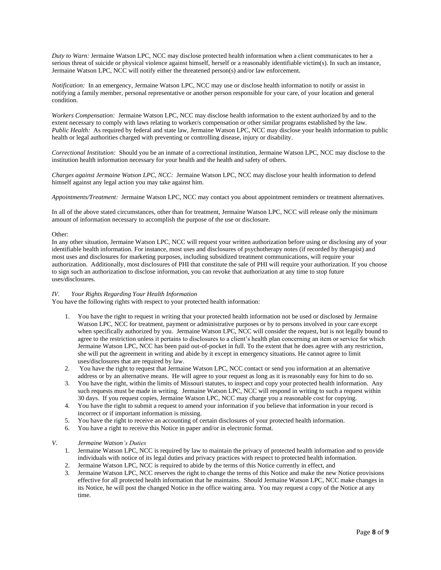*Duty to Warn:* Jermaine Watson LPC, NCC may disclose protected health information when a client communicates to her a serious threat of suicide or physical violence against himself, herself or a reasonably identifiable victim(s). In such an instance, Jermaine Watson LPC, NCC will notify either the threatened person(s) and/or law enforcement.

*Notification:* In an emergency, Jermaine Watson LPC, NCC may use or disclose health information to notify or assist in notifying a family member, personal representative or another person responsible for your care, of your location and general condition.

*Workers Compensation:* Jermaine Watson LPC, NCC may disclose health information to the extent authorized by and to the extent necessary to comply with laws relating to worker/s compensation or other similar programs established by the law. *Public Health:* As required by federal and state law, Jermaine Watson LPC, NCC may disclose your health information to public health or legal authorities charged with preventing or controlling disease, injury or disability.

*Correctional Institution:* Should you be an inmate of a correctional institution, Jermaine Watson LPC, NCC may disclose to the institution health information necessary for your health and the health and safety of others.

*Charges against Jermaine Watson LPC, NCC:* Jermaine Watson LPC, NCC may disclose your health information to defend himself against any legal action you may take against him.

*Appointments/Treatment:* Jermaine Watson LPC, NCC may contact you about appointment reminders or treatment alternatives.

In all of the above stated circumstances, other than for treatment, Jermaine Watson LPC, NCC will release only the minimum amount of information necessary to accomplish the purpose of the use or disclosure.

#### Other:

In any other situation, Jermaine Watson LPC, NCC will request your written authorization before using or disclosing any of your identifiable health information. For instance, most uses and disclosures of psychotherapy notes (if recorded by therapist) and most uses and disclosures for marketing purposes, including subsidized treatment communications, will require your authorization. Additionally, most disclosures of PHI that constitute the sale of PHI will require your authorization. If you choose to sign such an authorization to disclose information, you can revoke that authorization at any time to stop future uses/disclosures.

#### *IV. Your Rights Regarding Your Health Information*

You have the following rights with respect to your protected health information:

- 1. You have the right to request in writing that your protected health information not be used or disclosed by Jermaine Watson LPC, NCC for treatment, payment or administrative purposes or by to persons involved in your care except when specifically authorized by you. Jermaine Watson LPC, NCC will consider the request, but is not legally bound to agree to the restriction unless it pertains to disclosures to a client's health plan concerning an item or service for which Jermaine Watson LPC, NCC has been paid out-of-pocket in full. To the extent that he does agree with any restriction, she will put the agreement in writing and abide by it except in emergency situations. He cannot agree to limit uses/disclosures that are required by law.
- 2. You have the right to request that Jermaine Watson LPC, NCC contact or send you information at an alternative address or by an alternative means. He will agree to your request as long as it is reasonably easy for him to do so.
- 3. You have the right, within the limits of Missouri statutes, to inspect and copy your protected health information. Any such requests must be made in writing. Jermaine Watson LPC, NCC will respond in writing to such a request within 30 days. If you request copies, Jermaine Watson LPC, NCC may charge you a reasonable cost for copying.
- 4. You have the right to submit a request to amend your information if you believe that information in your record is incorrect or if important information is missing.
- 5. You have the right to receive an accounting of certain disclosures of your protected health information.
- 6. You have a right to receive this Notice in paper and/or in electronic format.

#### *V. Jermaine Watson's Duties*

- 1. Jermaine Watson LPC, NCC is required by law to maintain the privacy of protected health information and to provide individuals with notice of its legal duties and privacy practices with respect to protected health information.
- 2. Jermaine Watson LPC, NCC is required to abide by the terms of this Notice currently in effect, and
- 3. Jermaine Watson LPC, NCC reserves the right to change the terms of this Notice and make the new Notice provisions effective for all protected health information that he maintains. Should Jermaine Watson LPC, NCC make changes in its Notice, he will post the changed Notice in the office waiting area. You may request a copy of the Notice at any time.